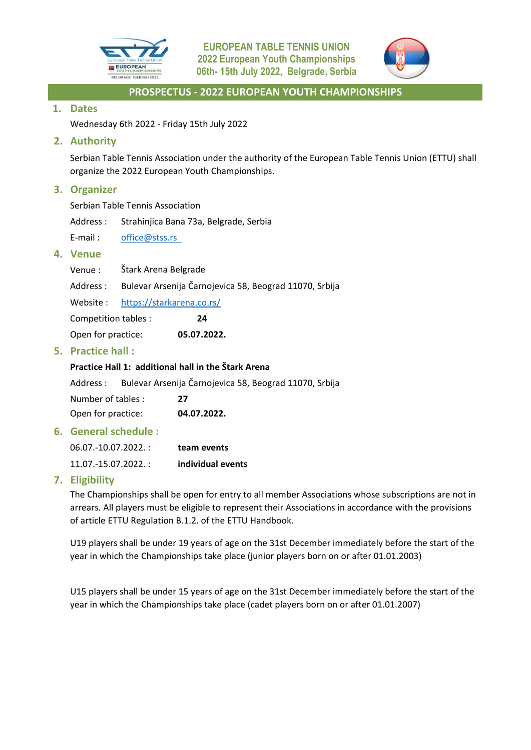



# **1. Dates**

Wednesday 6th 2022 - Friday 15th July 2022

# **2. Authority**

Serbian Table Tennis Association under the authority of the European Table Tennis Union (ETTU) shall organize the 2022 European Youth Championships.

# **3. Organizer**

Serbian Table Tennis Association

Address : Strahinjica Bana 73a, Belgrade, Serbia

E-mail: office@stss.rs

# **4. Venue**

| Venue: | Štark Arena Belgrade |  |
|--------|----------------------|--|
|--------|----------------------|--|

Address : Bulevar Arsenija Čarnojevica 58, Beograd 11070, Srbija

Website : https://starkarena.co.rs/

Competition tables : **24**

Open for practice: **05.07.2022.**

# **5. Practice hall :**

# **Practice Hall 1: additional hall in the Štark Arena**

Address : Bulevar Arsenija Čarnojevica 58, Beograd 11070, Srbija

Number of tables : **27** Open for practice: **04.07.2022.**

# **6. General schedule :**

| 06.07.-10.07.2022. : | team events       |
|----------------------|-------------------|
| 11.07.-15.07.2022. : | individual events |

# **7. Eligibility**

The Championships shall be open for entry to all member Associations whose subscriptions are not in arrears. All players must be eligible to represent their Associations in accordance with the provisions of article ETTU Regulation B.1.2. of the ETTU Handbook.

U19 players shall be under 19 years of age on the 31st December immediately before the start of the year in which the Championships take place (junior players born on or after 01.01.2003)

U15 players shall be under 15 years of age on the 31st December immediately before the start of the year in which the Championships take place (cadet players born on or after 01.01.2007)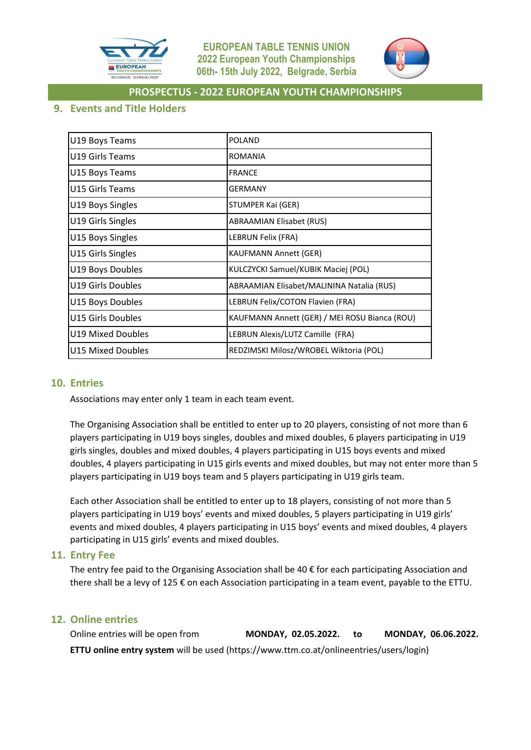



# **9. Events and Title Holders**

| U19 Boys Teams    | <b>POLAND</b>                                 |
|-------------------|-----------------------------------------------|
| U19 Girls Teams   | <b>ROMANIA</b>                                |
| U15 Boys Teams    | <b>FRANCE</b>                                 |
| U15 Girls Teams   | <b>GERMANY</b>                                |
| U19 Boys Singles  | STUMPER Kai (GER)                             |
| U19 Girls Singles | <b>ABRAAMIAN Elisabet (RUS)</b>               |
| U15 Boys Singles  | LEBRUN Felix (FRA)                            |
| U15 Girls Singles | <b>KAUFMANN Annett (GER)</b>                  |
| U19 Boys Doubles  | KULCZYCKI Samuel/KUBIK Maciej (POL)           |
| U19 Girls Doubles | ABRAAMIAN Elisabet/MALININA Natalia (RUS)     |
| U15 Boys Doubles  | LEBRUN Felix/COTON Flavien (FRA)              |
| U15 Girls Doubles | KAUFMANN Annett (GER) / MEI ROSU Bianca (ROU) |
| U19 Mixed Doubles | LEBRUN Alexis/LUTZ Camille (FRA)              |
| U15 Mixed Doubles | REDZIMSKI Milosz/WROBEL Wiktoria (POL)        |

# **10. Entries**

Associations may enter only 1 team in each team event.

The Organising Association shall be entitled to enter up to 20 players, consisting of not more than 6 players participating in U19 boys singles, doubles and mixed doubles, 6 players participating in U19 girls singles, doubles and mixed doubles, 4 players participating in U15 boys events and mixed doubles, 4 players participating in U15 girls events and mixed doubles, but may not enter more than 5 players participating in U19 boys team and 5 players participating in U19 girls team.

Each other Association shall be entitled to enter up to 18 players, consisting of not more than 5 players participating in U19 boys' events and mixed doubles, 5 players participating in U19 girls' events and mixed doubles, 4 players participating in U15 boys' events and mixed doubles, 4 players participating in U15 girls' events and mixed doubles.

#### **11. Entry Fee**

The entry fee paid to the Organising Association shall be  $40 \epsilon$  for each participating Association and there shall be a levy of 125 € on each Association participating in a team event, payable to the ETTU.

# **12. Online entries**

Online entries will be open from **MONDAY, 02.05.2022. to MONDAY, 06.06.2022. ETTU online entry system** will be used (https://www.ttm.co.at/onlineentries/users/login)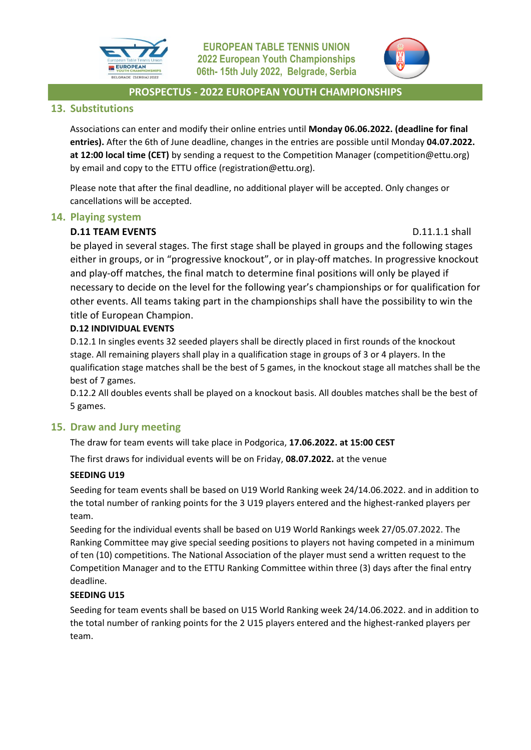



# **13. Substitutions**

Associations can enter and modify their online entries until **Monday 06.06.2022. (deadline for final entries).** After the 6th of June deadline, changes in the entries are possible until Monday **04.07.2022. at 12:00 local time (CET)** by sending a request to the Competition Manager (competition@ettu.org) by email and copy to the ETTU office (registration@ettu.org).

Please note that after the final deadline, no additional player will be accepted. Only changes or cancellations will be accepted.

# **14. Playing system**

# **D.11 TEAM EVENTS D.11.1.1** shall

be played in several stages. The first stage shall be played in groups and the following stages either in groups, or in "progressive knockout", or in play-off matches. In progressive knockout and play-off matches, the final match to determine final positions will only be played if necessary to decide on the level for the following year's championships or for qualification for other events. All teams taking part in the championships shall have the possibility to win the title of European Champion.

## **D.12 INDIVIDUAL EVENTS**

D.12.1 In singles events 32 seeded players shall be directly placed in first rounds of the knockout stage. All remaining players shall play in a qualification stage in groups of 3 or 4 players. In the qualification stage matches shall be the best of 5 games, in the knockout stage all matches shall be the best of 7 games.

D.12.2 All doubles events shall be played on a knockout basis. All doubles matches shall be the best of 5 games.

# **15. Draw and Jury meeting**

The draw for team events will take place in Podgorica, **17.06.2022. at 15:00 CEST**

The first draws for individual events will be on Friday, **08.07.2022.** at the venue

# **SEEDING U19**

Seeding for team events shall be based on U19 World Ranking week 24/14.06.2022. and in addition to the total number of ranking points for the 3 U19 players entered and the highest-ranked players per team.

Seeding for the individual events shall be based on U19 World Rankings week 27/05.07.2022. The Ranking Committee may give special seeding positions to players not having competed in a minimum of ten (10) competitions. The National Association of the player must send a written request to the Competition Manager and to the ETTU Ranking Committee within three (3) days after the final entry deadline.

# **SEEDING U15**

Seeding for team events shall be based on U15 World Ranking week 24/14.06.2022. and in addition to the total number of ranking points for the 2 U15 players entered and the highest-ranked players per team.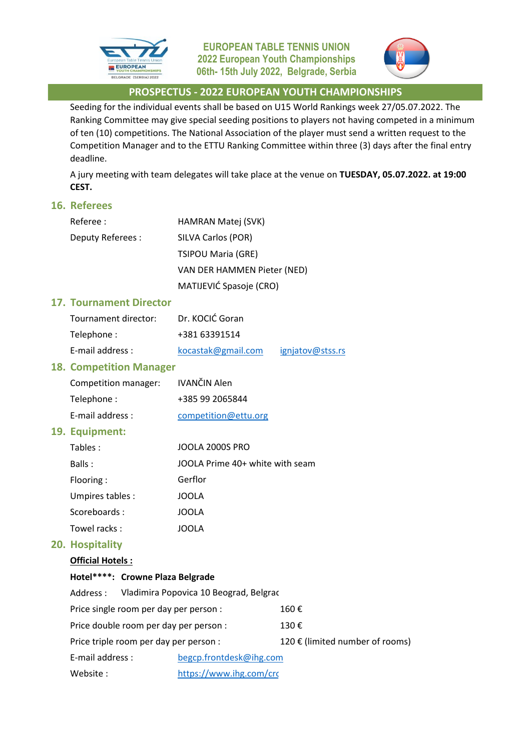



Seeding for the individual events shall be based on U15 World Rankings week 27/05.07.2022. The Ranking Committee may give special seeding positions to players not having competed in a minimum of ten (10) competitions. The National Association of the player must send a written request to the Competition Manager and to the ETTU Ranking Committee within three (3) days after the final entry deadline.

A jury meeting with team delegates will take place at the venue on **TUESDAY, 05.07.2022. at 19:00 CEST.**

#### **16. Referees**

| Referee :        | <b>HAMRAN Matej (SVK)</b>   |
|------------------|-----------------------------|
| Deputy Referees: | SILVA Carlos (POR)          |
|                  | <b>TSIPOU Maria (GRE)</b>   |
|                  | VAN DER HAMMEN Pieter (NED) |
|                  | MATIJEVIĆ Spasoje (CRO)     |

#### **17. Tournament Director**

| Tournament director: | Dr. KOCIĆ Goran    |                  |
|----------------------|--------------------|------------------|
| Telephone:           | +381 63391514      |                  |
| E-mail address :     | kocastak@gmail.com | igniatov@stss.rs |

#### **18. Competition Manager**

| Competition manager: | IVANČIN Alen         |
|----------------------|----------------------|
| Telephone:           | +385 99 2065844      |
| E-mail address:      | competition@ettu.org |

#### **19. Equipment:**

| Tables:          | JOOLA 2000S PRO                 |
|------------------|---------------------------------|
| Balls:           | JOOLA Prime 40+ white with seam |
| Flooring:        | Gerflor                         |
| Umpires tables : | JOOLA                           |
| Scoreboards:     | JOOLA                           |
| Towel racks:     | JOOLA                           |

#### **20. Hospitality**

#### **Official Hotels :**

#### **Hotel\*\*\*\*: Crowne Plaza Belgrade**

| Address:                               | Vladimira Popovica 10 Beograd, Belgrac |                                 |
|----------------------------------------|----------------------------------------|---------------------------------|
| Price single room per day per person : |                                        | 160 €                           |
| Price double room per day per person : |                                        | 130€                            |
| Price triple room per day per person : |                                        | 120 € (limited number of rooms) |
| E-mail address :                       | begcp.frontdesk@ihg.com                |                                 |
| Website:                               | https://www.ihg.com/crc                |                                 |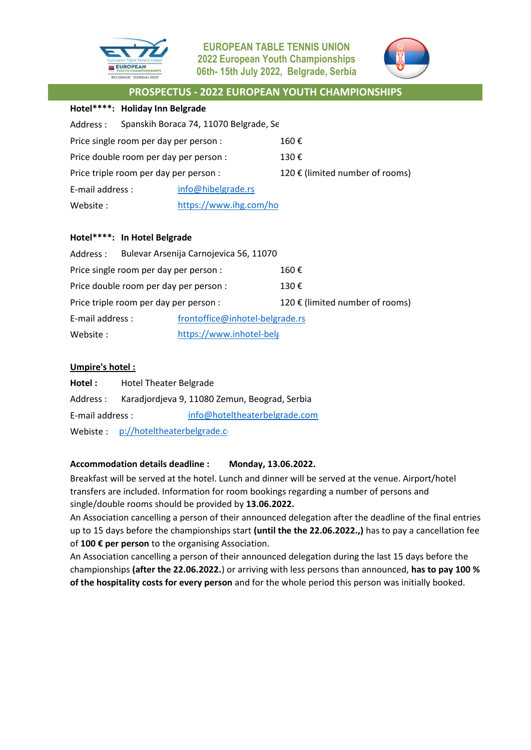



### **Hotel\*\*\*\*: Holiday Inn Belgrade**

| Address :                              | Spanskih Boraca 74, 11070 Belgrade, Se |                                 |
|----------------------------------------|----------------------------------------|---------------------------------|
| Price single room per day per person : |                                        | 160€                            |
| Price double room per day per person : |                                        | 130€                            |
| Price triple room per day per person : |                                        | 120 € (limited number of rooms) |
| E-mail address :                       | info@hibelgrade.rs                     |                                 |
| Website:                               | https://www.ihg.com/ho                 |                                 |

#### **Hotel\*\*\*\*: In Hotel Belgrade**

| Address :                              |  | Bulevar Arsenija Carnojevica 56, 11070 |  |
|----------------------------------------|--|----------------------------------------|--|
| Price single room per day per person : |  | 160€                                   |  |
| Price double room per day per person : |  | 130€                                   |  |
| Price triple room per day per person : |  | 120 € (limited number of rooms)        |  |
| E-mail address :                       |  | frontoffice@inhotel-belgrade.rs        |  |
| Website:                               |  | https://www.inhotel-belg               |  |

## **Umpire's hotel :**

| Hotel :          | Hotel Theater Belgrade                        |                               |
|------------------|-----------------------------------------------|-------------------------------|
| Address :        | Karadjordjeva 9, 11080 Zemun, Beograd, Serbia |                               |
| E-mail address : |                                               | info@hoteltheaterbelgrade.com |
|                  | Webiste: p://hoteltheaterbelgrade.c           |                               |

#### **Accommodation details deadline : Monday, 13.06.2022.**

Breakfast will be served at the hotel. Lunch and dinner will be served at the venue. Airport/hotel transfers are included. Information for room bookings regarding a number of persons and single/double rooms should be provided by **13.06.2022.** 

An Association cancelling a person of their announced delegation after the deadline of the final entries up to 15 days before the championships start **(until the the 22.06.2022.,)** has to pay a cancellation fee of **100 € per person** to the organising Association.

An Association cancelling a person of their announced delegation during the last 15 days before the championships **(after the 22.06.2022.**) or arriving with less persons than announced, **has to pay 100 % of the hospitality costs for every person** and for the whole period this person was initially booked.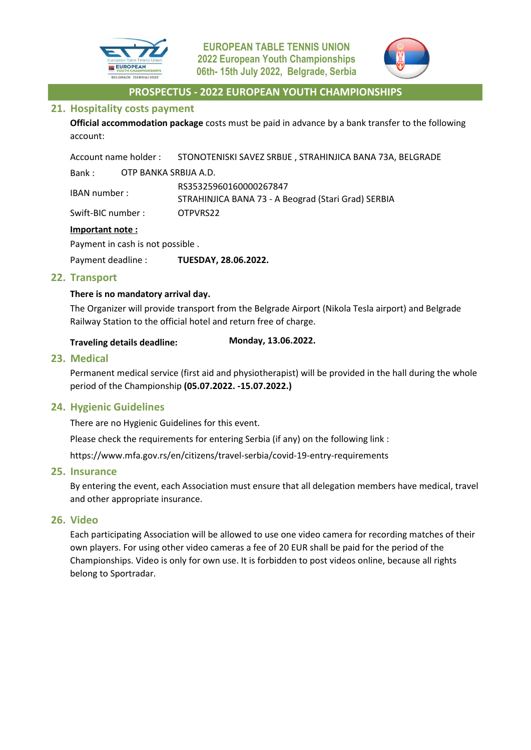



## **21. Hospitality costs payment**

**Official accommodation package** costs must be paid in advance by a bank transfer to the following account:

Account name holder : STONOTENISKI SAVEZ SRBIJE , STRAHINJICA BANA 73A, BELGRADE Bank : OTP BANKA SRBIJA A.D.

IBAN number : Swift-BIC number : OTPVRS22 RS35325960160000267847 STRAHINJICA BANA 73 - A Beograd (Stari Grad) SERBIA

## **Important note :**

Payment in cash is not possible .

Payment deadline : **TUESDAY, 28.06.2022.**

# **22. Transport**

## **There is no mandatory arrival day.**

The Organizer will provide transport from the Belgrade Airport (Nikola Tesla airport) and Belgrade Railway Station to the official hotel and return free of charge.

#### **Traveling details deadline: Monday, 13.06.2022.**

## **23. Medical**

Permanent medical service (first aid and physiotherapist) will be provided in the hall during the whole period of the Championship **(05.07.2022. -15.07.2022.)**

# **24. Hygienic Guidelines**

There are no Hygienic Guidelines for this event.

Please check the requirements for entering Serbia (if any) on the following link :

https://www.mfa.gov.rs/en/citizens/travel-serbia/covid-19-entry-requirements

#### **25. Insurance**

By entering the event, each Association must ensure that all delegation members have medical, travel and other appropriate insurance.

# **26. Video**

Each participating Association will be allowed to use one video camera for recording matches of their own players. For using other video cameras a fee of 20 EUR shall be paid for the period of the Championships. Video is only for own use. It is forbidden to post videos online, because all rights belong to Sportradar.